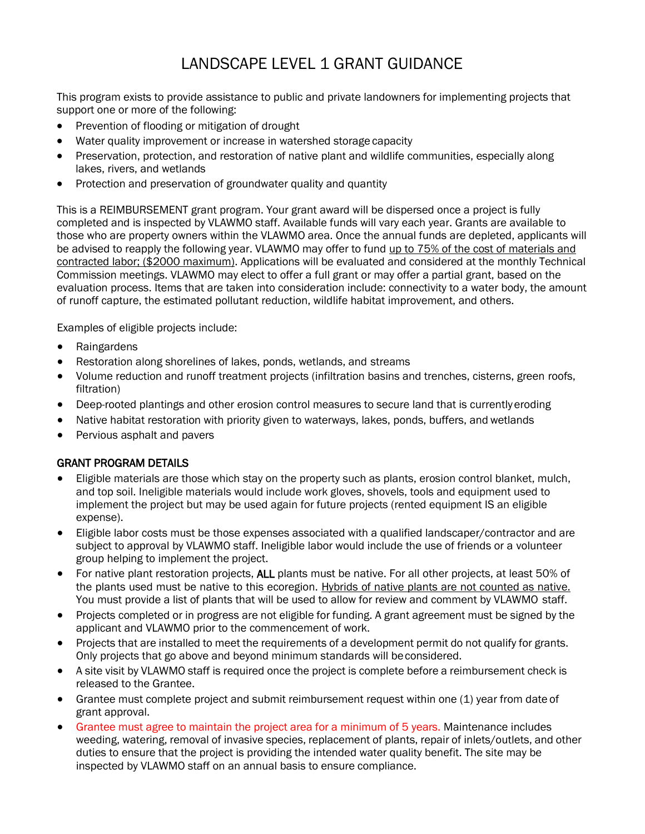## LANDSCAPE LEVEL 1 GRANT GUIDANCE

This program exists to provide assistance to public and private landowners for implementing projects that support one or more of the following:

- Prevention of flooding or mitigation of drought
- Water quality improvement or increase in watershed storage capacity
- Preservation, protection, and restoration of native plant and wildlife communities, especially along lakes, rivers, and wetlands
- Protection and preservation of groundwater quality and quantity

This is a REIMBURSEMENT grant program. Your grant award will be dispersed once a project is fully completed and is inspected by VLAWMO staff. Available funds will vary each year. Grants are available to those who are property owners within the VLAWMO area. Once the annual funds are depleted, applicants will be advised to reapply the following year. VLAWMO may offer to fund up to 75% of the cost of materials and contracted labor; (\$2000 maximum). Applications will be evaluated and considered at the monthly Technical Commission meetings. VLAWMO may elect to offer a full grant or may offer a partial grant, based on the evaluation process. Items that are taken into consideration include: connectivity to a water body, the amount of runoff capture, the estimated pollutant reduction, wildlife habitat improvement, and others.

Examples of eligible projects include:

- Raingardens
- Restoration along shorelines of lakes, ponds, wetlands, and streams
- Volume reduction and runoff treatment projects (infiltration basins and trenches, cisterns, green roofs, filtration)
- Deep-rooted plantings and other erosion control measures to secure land that is currently eroding
- Native habitat restoration with priority given to waterways, lakes, ponds, buffers, and wetlands
- Pervious asphalt and pavers

## GRANT PROGRAM DETAILS

- Eligible materials are those which stay on the property such as plants, erosion control blanket, mulch, and top soil. Ineligible materials would include work gloves, shovels, tools and equipment used to implement the project but may be used again for future projects (rented equipment IS an eligible expense).
- Eligible labor costs must be those expenses associated with a qualified landscaper/contractor and are subject to approval by VLAWMO staff. Ineligible labor would include the use of friends or a volunteer group helping to implement the project.
- For native plant restoration projects, ALL plants must be native. For all other projects, at least 50% of the plants used must be native to this ecoregion. Hybrids of native plants are not counted as native. You must provide a list of plants that will be used to allow for review and comment by VLAWMO staff.
- Projects completed or in progress are not eligible for funding. A grant agreement must be signed by the applicant and VLAWMO prior to the commencement of work.
- Projects that are installed to meet the requirements of a development permit do not qualify for grants. Only projects that go above and beyond minimum standards will beconsidered.
- A site visit by VLAWMO staff is required once the project is complete before a reimbursement check is released to the Grantee.
- Grantee must complete project and submit reimbursement request within one (1) year from date of grant approval.
- Grantee must agree to maintain the project area for a minimum of 5 years. Maintenance includes weeding, watering, removal of invasive species, replacement of plants, repair of inlets/outlets, and other duties to ensure that the project is providing the intended water quality benefit. The site may be inspected by VLAWMO staff on an annual basis to ensure compliance.